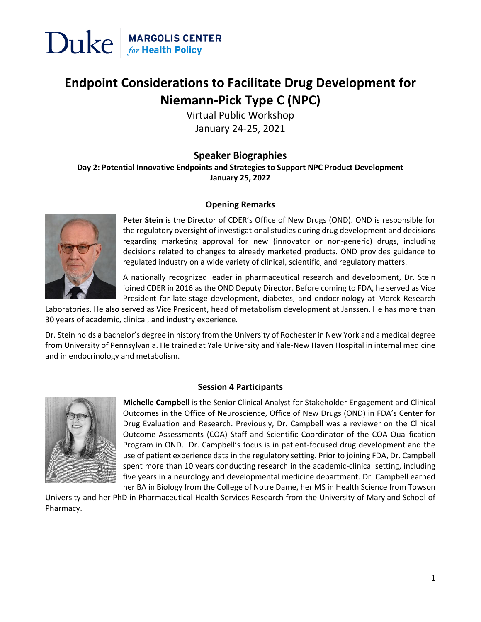

### **Endpoint Considerations to Facilitate Drug Development for Niemann-Pick Type C (NPC)**

Virtual Public Workshop January 24-25, 2021

### **Speaker Biographies**

**Day 2: Potential Innovative Endpoints and Strategies to Support NPC Product Development January 25, 2022**

#### **Opening Remarks**



**Peter Stein** is the Director of CDER's Office of New Drugs (OND). OND is responsible for the regulatory oversight of investigational studies during drug development and decisions regarding marketing approval for new (innovator or non-generic) drugs, including decisions related to changes to already marketed products. OND provides guidance to regulated industry on a wide variety of clinical, scientific, and regulatory matters.

A nationally recognized leader in pharmaceutical research and development, Dr. Stein joined CDER in 2016 as the OND Deputy Director. Before coming to FDA, he served as Vice President for late-stage development, diabetes, and endocrinology at Merck Research

Laboratories. He also served as Vice President, head of metabolism development at Janssen. He has more than 30 years of academic, clinical, and industry experience.

Dr. Stein holds a bachelor's degree in history from the University of Rochester in New York and a medical degree from University of Pennsylvania. He trained at Yale University and Yale-New Haven Hospital in internal medicine and in endocrinology and metabolism.



#### **Session 4 Participants**

**Michelle Campbell** is the Senior Clinical Analyst for Stakeholder Engagement and Clinical Outcomes in the Office of Neuroscience, Office of New Drugs (OND) in FDA's Center for Drug Evaluation and Research. Previously, Dr. Campbell was a reviewer on the Clinical Outcome Assessments (COA) Staff and Scientific Coordinator of the COA Qualification Program in OND. Dr. Campbell's focus is in patient-focused drug development and the use of patient experience data in the regulatory setting. Prior to joining FDA, Dr. Campbell spent more than 10 years conducting research in the academic-clinical setting, including five years in a neurology and developmental medicine department. Dr. Campbell earned her BA in Biology from the College of Notre Dame, her MS in Health Science from Towson

University and her PhD in Pharmaceutical Health Services Research from the University of Maryland School of Pharmacy.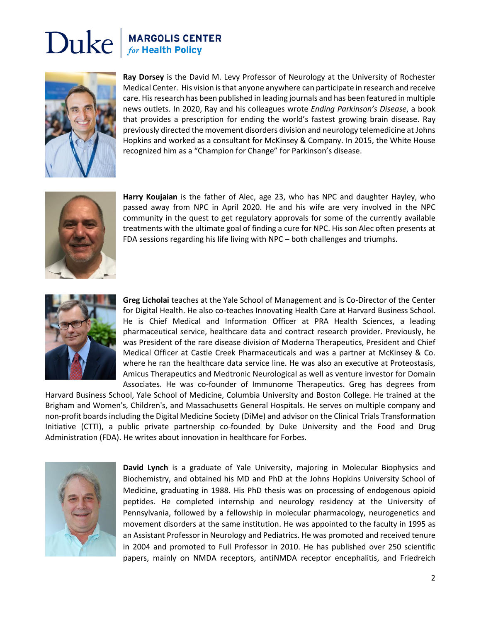## $\sum$ uke  $\int_{\text{for Health Policy}}^{\text{MARGOLIS CENTER}}$



**Ray Dorsey** is the David M. Levy Professor of Neurology at the University of Rochester Medical Center. His vision is that anyone anywhere can participate in research and receive care. His research has been published in leading journals and has been featured in multiple news outlets. In 2020, Ray and his colleagues wrote *Ending Parkinson's Disease*, a book that provides a prescription for ending the world's fastest growing brain disease. Ray previously directed the movement disorders division and neurology telemedicine at Johns Hopkins and worked as a consultant for McKinsey & Company. In 2015, the White House recognized him as a "Champion for Change" for Parkinson's disease.



**Harry Koujaian** is the father of Alec, age 23, who has NPC and daughter Hayley, who passed away from NPC in April 2020. He and his wife are very involved in the NPC community in the quest to get regulatory approvals for some of the currently available treatments with the ultimate goal of finding a cure for NPC. His son Alec often presents at FDA sessions regarding his life living with NPC – both challenges and triumphs.



**Greg Licholai** teaches at the Yale School of Management and is Co-Director of the Center for Digital Health. He also co-teaches Innovating Health Care at Harvard Business School. He is Chief Medical and Information Officer at PRA Health Sciences, a leading pharmaceutical service, healthcare data and contract research provider. Previously, he was President of the rare disease division of Moderna Therapeutics, President and Chief Medical Officer at Castle Creek Pharmaceuticals and was a partner at McKinsey & Co. where he ran the healthcare data service line. He was also an executive at Proteostasis, Amicus Therapeutics and Medtronic Neurological as well as venture investor for Domain Associates. He was co-founder of Immunome Therapeutics. Greg has degrees from

Harvard Business School, Yale School of Medicine, Columbia University and Boston College. He trained at the Brigham and Women's, Children's, and Massachusetts General Hospitals. He serves on multiple company and non-profit boards including the Digital Medicine Society (DiMe) and advisor on the Clinical Trials Transformation Initiative (CTTI), a public private partnership co-founded by Duke University and the Food and Drug Administration (FDA). He writes about innovation in healthcare for Forbes.



**David Lynch** is a graduate of Yale University, majoring in Molecular Biophysics and Biochemistry, and obtained his MD and PhD at the Johns Hopkins University School of Medicine, graduating in 1988. His PhD thesis was on processing of endogenous opioid peptides. He completed internship and neurology residency at the University of Pennsylvania, followed by a fellowship in molecular pharmacology, neurogenetics and movement disorders at the same institution. He was appointed to the faculty in 1995 as an Assistant Professor in Neurology and Pediatrics. He was promoted and received tenure in 2004 and promoted to Full Professor in 2010. He has published over 250 scientific papers, mainly on NMDA receptors, antiNMDA receptor encephalitis, and Friedreich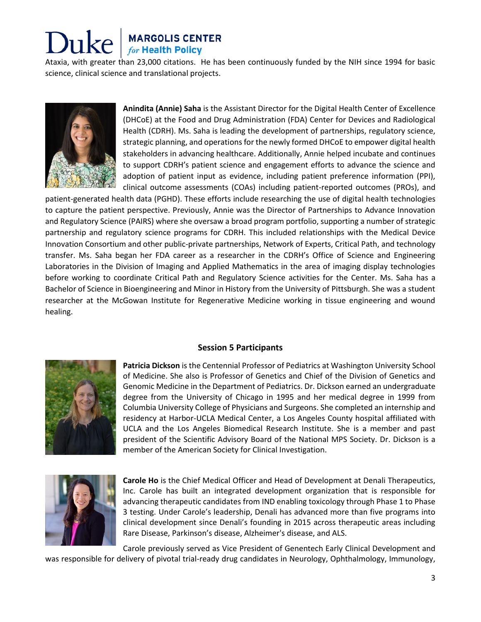# **MARGOLIS CENTER**<br>for Health Policy

Ataxia, with greater than 23,000 citations. He has been continuously funded by the NIH since 1994 for basic science, clinical science and translational projects.



**Anindita (Annie) Saha** is the Assistant Director for the Digital Health Center of Excellence (DHCoE) at the Food and Drug Administration (FDA) Center for Devices and Radiological Health (CDRH). Ms. Saha is leading the development of partnerships, regulatory science, strategic planning, and operations for the newly formed DHCoE to empower digital health stakeholders in advancing healthcare. Additionally, Annie helped incubate and continues to support CDRH's patient science and engagement efforts to advance the science and adoption of patient input as evidence, including patient preference information (PPI), clinical outcome assessments (COAs) including patient-reported outcomes (PROs), and

patient-generated health data (PGHD). These efforts include researching the use of digital health technologies to capture the patient perspective. Previously, Annie was the Director of Partnerships to Advance Innovation and Regulatory Science (PAIRS) where she oversaw a broad program portfolio, supporting a number of strategic partnership and regulatory science programs for CDRH. This included relationships with the Medical Device Innovation Consortium and other public-private partnerships, Network of Experts, Critical Path, and technology transfer. Ms. Saha began her FDA career as a researcher in the CDRH's Office of Science and Engineering Laboratories in the Division of Imaging and Applied Mathematics in the area of imaging display technologies before working to coordinate Critical Path and Regulatory Science activities for the Center. Ms. Saha has a Bachelor of Science in Bioengineering and Minor in History from the University of Pittsburgh. She was a student researcher at the McGowan Institute for Regenerative Medicine working in tissue engineering and wound healing.



#### **Session 5 Participants**

**Patricia Dickson** is the Centennial Professor of Pediatrics at Washington University School of Medicine. She also is Professor of Genetics and Chief of the Division of Genetics and Genomic Medicine in the Department of Pediatrics. Dr. Dickson earned an undergraduate degree from the University of Chicago in 1995 and her medical degree in 1999 from Columbia University College of Physicians and Surgeons. She completed an internship and residency at Harbor-UCLA Medical Center, a Los Angeles County hospital affiliated with UCLA and the Los Angeles Biomedical Research Institute. She is a member and past president of the Scientific Advisory Board of the National MPS Society. Dr. Dickson is a member of the American Society for Clinical Investigation.



**Carole Ho** is the Chief Medical Officer and Head of Development at Denali Therapeutics, Inc. Carole has built an integrated development organization that is responsible for advancing therapeutic candidates from IND enabling toxicology through Phase 1 to Phase 3 testing. Under Carole's leadership, Denali has advanced more than five programs into clinical development since Denali's founding in 2015 across therapeutic areas including Rare Disease, Parkinson's disease, Alzheimer's disease, and ALS.

Carole previously served as Vice President of Genentech Early Clinical Development and was responsible for delivery of pivotal trial-ready drug candidates in Neurology, Ophthalmology, Immunology,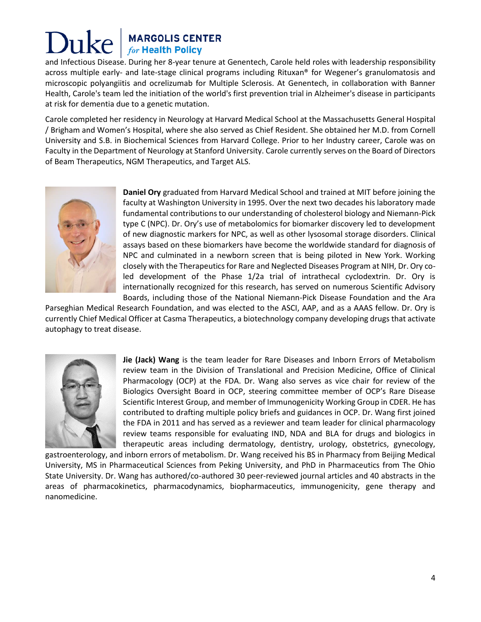### Duke **MARGOLIS CENTER**<br>for Health Policy

and Infectious Disease. During her 8-year tenure at Genentech, Carole held roles with leadership responsibility across multiple early- and late-stage clinical programs including Rituxan® for Wegener's granulomatosis and microscopic polyangiitis and ocrelizumab for Multiple Sclerosis. At Genentech, in collaboration with Banner Health, Carole's team led the initiation of the world's first prevention trial in Alzheimer's disease in participants at risk for dementia due to a genetic mutation.

Carole completed her residency in Neurology at Harvard Medical School at the Massachusetts General Hospital / Brigham and Women's Hospital, where she also served as Chief Resident. She obtained her M.D. from Cornell University and S.B. in Biochemical Sciences from Harvard College. Prior to her Industry career, Carole was on Faculty in the Department of Neurology at Stanford University. Carole currently serves on the Board of Directors of Beam Therapeutics, NGM Therapeutics, and Target ALS.



**Daniel Ory** graduated from Harvard Medical School and trained at MIT before joining the faculty at Washington University in 1995. Over the next two decades his laboratory made fundamental contributions to our understanding of cholesterol biology and Niemann-Pick type C (NPC). Dr. Ory's use of metabolomics for biomarker discovery led to development of new diagnostic markers for NPC, as well as other lysosomal storage disorders. Clinical assays based on these biomarkers have become the worldwide standard for diagnosis of NPC and culminated in a newborn screen that is being piloted in New York. Working closely with the Therapeutics for Rare and Neglected Diseases Program at NIH, Dr. Ory coled development of the Phase 1/2a trial of intrathecal cyclodextrin. Dr. Ory is internationally recognized for this research, has served on numerous Scientific Advisory Boards, including those of the National Niemann-Pick Disease Foundation and the Ara

Parseghian Medical Research Foundation, and was elected to the ASCI, AAP, and as a AAAS fellow. Dr. Ory is currently Chief Medical Officer at Casma Therapeutics, a biotechnology company developing drugs that activate autophagy to treat disease.



**Jie (Jack) Wang** is the team leader for Rare Diseases and Inborn Errors of Metabolism review team in the Division of Translational and Precision Medicine, Office of Clinical Pharmacology (OCP) at the FDA. Dr. Wang also serves as vice chair for review of the Biologics Oversight Board in OCP, steering committee member of OCP's Rare Disease Scientific Interest Group, and member of Immunogenicity Working Group in CDER. He has contributed to drafting multiple policy briefs and guidances in OCP. Dr. Wang first joined the FDA in 2011 and has served as a reviewer and team leader for clinical pharmacology review teams responsible for evaluating IND, NDA and BLA for drugs and biologics in therapeutic areas including dermatology, dentistry, urology, obstetrics, gynecology,

gastroenterology, and inborn errors of metabolism. Dr. Wang received his BS in Pharmacy from Beijing Medical University, MS in Pharmaceutical Sciences from Peking University, and PhD in Pharmaceutics from The Ohio State University. Dr. Wang has authored/co-authored 30 peer-reviewed journal articles and 40 abstracts in the areas of pharmacokinetics, pharmacodynamics, biopharmaceutics, immunogenicity, gene therapy and nanomedicine.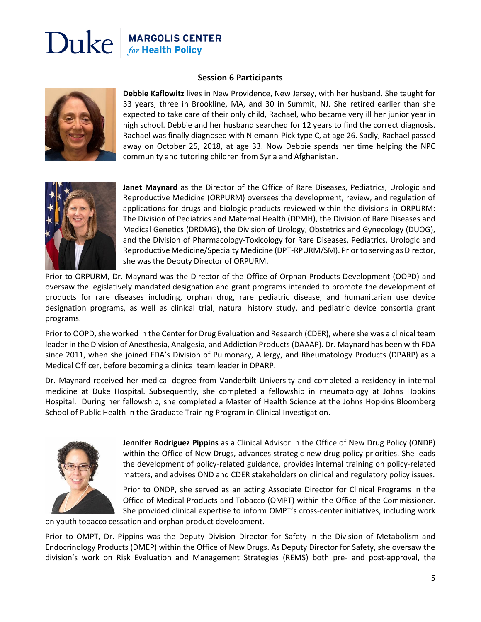### **MARGOLIS CENTER**<br>for Health Policy Duke

#### **Session 6 Participants**



**Debbie Kaflowitz** lives in New Providence, New Jersey, with her husband. She taught for 33 years, three in Brookline, MA, and 30 in Summit, NJ. She retired earlier than she expected to take care of their only child, Rachael, who became very ill her junior year in high school. Debbie and her husband searched for 12 years to find the correct diagnosis. Rachael was finally diagnosed with Niemann-Pick type C, at age 26. Sadly, Rachael passed away on October 25, 2018, at age 33. Now Debbie spends her time helping the NPC community and tutoring children from Syria and Afghanistan.



**Janet Maynard** as the Director of the Office of Rare Diseases, Pediatrics, Urologic and Reproductive Medicine (ORPURM) oversees the development, review, and regulation of applications for drugs and biologic products reviewed within the divisions in ORPURM: The Division of Pediatrics and Maternal Health (DPMH), the Division of Rare Diseases and Medical Genetics (DRDMG), the Division of Urology, Obstetrics and Gynecology (DUOG), and the Division of Pharmacology-Toxicology for Rare Diseases, Pediatrics, Urologic and Reproductive Medicine/Specialty Medicine (DPT-RPURM/SM). Prior to serving as Director, she was the Deputy Director of ORPURM.

Prior to ORPURM, Dr. Maynard was the Director of the Office of Orphan Products Development (OOPD) and oversaw the legislatively mandated designation and grant programs intended to promote the development of products for rare diseases including, orphan drug, rare pediatric disease, and humanitarian use device designation programs, as well as clinical trial, natural history study, and pediatric device consortia grant programs.

Prior to OOPD, she worked in the Center for Drug Evaluation and Research (CDER), where she was a clinical team leader in the Division of Anesthesia, Analgesia, and Addiction Products (DAAAP). Dr. Maynard has been with FDA since 2011, when she joined FDA's Division of Pulmonary, Allergy, and Rheumatology Products (DPARP) as a Medical Officer, before becoming a clinical team leader in DPARP.

Dr. Maynard received her medical degree from Vanderbilt University and completed a residency in internal medicine at Duke Hospital. Subsequently, she completed a fellowship in rheumatology at Johns Hopkins Hospital. During her fellowship, she completed a Master of Health Science at the Johns Hopkins Bloomberg School of Public Health in the Graduate Training Program in Clinical Investigation.



**Jennifer Rodriguez Pippins** as a Clinical Advisor in the Office of New Drug Policy (ONDP) within the Office of New Drugs, advances strategic new drug policy priorities. She leads the development of policy-related guidance, provides internal training on policy-related matters, and advises OND and CDER stakeholders on clinical and regulatory policy issues.

Prior to ONDP, she served as an acting Associate Director for Clinical Programs in the Office of Medical Products and Tobacco (OMPT) within the Office of the Commissioner. She provided clinical expertise to inform OMPT's cross-center initiatives, including work

on youth tobacco cessation and orphan product development.

Prior to OMPT, Dr. Pippins was the Deputy Division Director for Safety in the Division of Metabolism and Endocrinology Products (DMEP) within the Office of New Drugs. As Deputy Director for Safety, she oversaw the division's work on Risk Evaluation and Management Strategies (REMS) both pre- and post-approval, the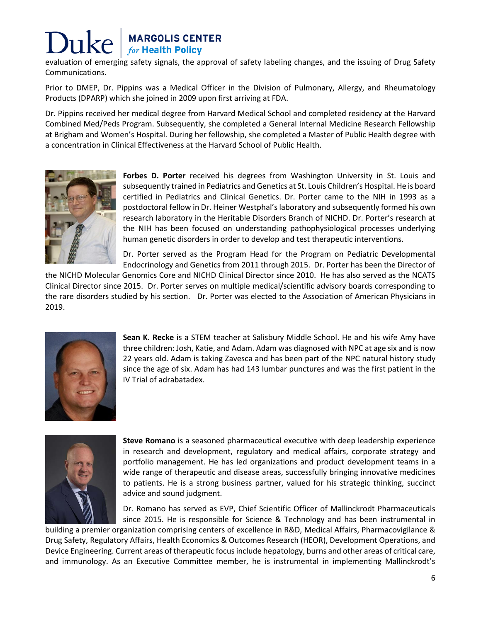# **MARGOLIS CENTER**<br>for Health Policy

evaluation of emerging safety signals, the approval of safety labeling changes, and the issuing of Drug Safety Communications.

Prior to DMEP, Dr. Pippins was a Medical Officer in the Division of Pulmonary, Allergy, and Rheumatology Products (DPARP) which she joined in 2009 upon first arriving at FDA.

Dr. Pippins received her medical degree from Harvard Medical School and completed residency at the Harvard Combined Med/Peds Program. Subsequently, she completed a General Internal Medicine Research Fellowship at Brigham and Women's Hospital. During her fellowship, she completed a Master of Public Health degree with a concentration in Clinical Effectiveness at the Harvard School of Public Health.



**Forbes D. Porter** received his degrees from Washington University in St. Louis and subsequently trained in Pediatrics and Genetics at St. Louis Children's Hospital. He is board certified in Pediatrics and Clinical Genetics. Dr. Porter came to the NIH in 1993 as a postdoctoral fellow in Dr. Heiner Westphal's laboratory and subsequently formed his own research laboratory in the Heritable Disorders Branch of NICHD. Dr. Porter's research at the NIH has been focused on understanding pathophysiological processes underlying human genetic disorders in order to develop and test therapeutic interventions.

Dr. Porter served as the Program Head for the Program on Pediatric Developmental Endocrinology and Genetics from 2011 through 2015. Dr. Porter has been the Director of

the NICHD Molecular Genomics Core and NICHD Clinical Director since 2010. He has also served as the NCATS Clinical Director since 2015. Dr. Porter serves on multiple medical/scientific advisory boards corresponding to the rare disorders studied by his section. Dr. Porter was elected to the Association of American Physicians in 2019.



**Sean K. Recke** is a STEM teacher at Salisbury Middle School. He and his wife Amy have three children: Josh, Katie, and Adam. Adam was diagnosed with NPC at age six and is now 22 years old. Adam is taking Zavesca and has been part of the NPC natural history study since the age of six. Adam has had 143 lumbar punctures and was the first patient in the IV Trial of adrabatadex.



**Steve Romano** is a seasoned pharmaceutical executive with deep leadership experience in research and development, regulatory and medical affairs, corporate strategy and portfolio management. He has led organizations and product development teams in a wide range of therapeutic and disease areas, successfully bringing innovative medicines to patients. He is a strong business partner, valued for his strategic thinking, succinct advice and sound judgment.

Dr. Romano has served as EVP, Chief Scientific Officer of Mallinckrodt Pharmaceuticals since 2015. He is responsible for Science & Technology and has been instrumental in

building a premier organization comprising centers of excellence in R&D, Medical Affairs, Pharmacovigilance & Drug Safety, Regulatory Affairs, Health Economics & Outcomes Research (HEOR), Development Operations, and Device Engineering. Current areas of therapeutic focus include hepatology, burns and other areas of critical care, and immunology. As an Executive Committee member, he is instrumental in implementing Mallinckrodt's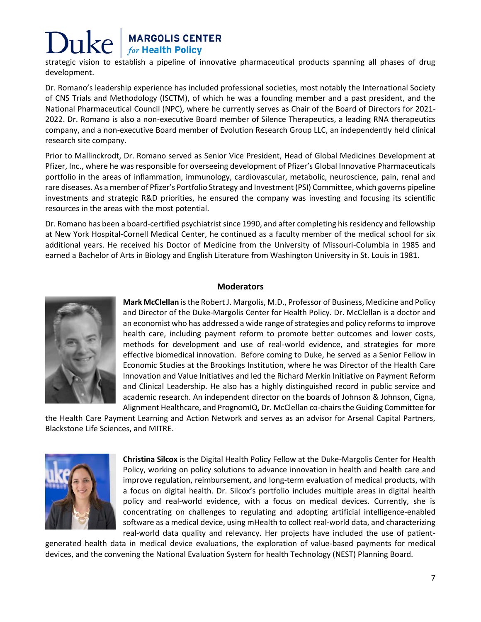# **MARGOLIS CENTER**<br>for Health Policy

strategic vision to establish a pipeline of innovative pharmaceutical products spanning all phases of drug development.

Dr. Romano's leadership experience has included professional societies, most notably the International Society of CNS Trials and Methodology (ISCTM), of which he was a founding member and a past president, and the National Pharmaceutical Council (NPC), where he currently serves as Chair of the Board of Directors for 2021- 2022. Dr. Romano is also a non-executive Board member of Silence Therapeutics, a leading RNA therapeutics company, and a non-executive Board member of Evolution Research Group LLC, an independently held clinical research site company.

Prior to Mallinckrodt, Dr. Romano served as Senior Vice President, Head of Global Medicines Development at Pfizer, Inc., where he was responsible for overseeing development of Pfizer's Global Innovative Pharmaceuticals portfolio in the areas of inflammation, immunology, cardiovascular, metabolic, neuroscience, pain, renal and rare diseases. As a member of Pfizer's Portfolio Strategy and Investment (PSI) Committee, which governs pipeline investments and strategic R&D priorities, he ensured the company was investing and focusing its scientific resources in the areas with the most potential.

Dr. Romano has been a board-certified psychiatrist since 1990, and after completing his residency and fellowship at New York Hospital-Cornell Medical Center, he continued as a faculty member of the medical school for six additional years. He received his Doctor of Medicine from the University of Missouri-Columbia in 1985 and earned a Bachelor of Arts in Biology and English Literature from Washington University in St. Louis in 1981.



#### **Moderators**

**Mark McClellan** is the Robert J. Margolis, M.D., Professor of Business, Medicine and Policy and Director of the Duke-Margolis Center for Health Policy. Dr. McClellan is a doctor and an economist who has addressed a wide range of strategies and policy reforms to improve health care, including payment reform to promote better outcomes and lower costs, methods for development and use of real-world evidence, and strategies for more effective biomedical innovation. Before coming to Duke, he served as a Senior Fellow in Economic Studies at the Brookings Institution, where he was Director of the Health Care Innovation and Value Initiatives and led the Richard Merkin Initiative on Payment Reform and Clinical Leadership. He also has a highly distinguished record in public service and academic research. An independent director on the boards of Johnson & Johnson, Cigna, Alignment Healthcare, and PrognomIQ, Dr. McClellan co-chairs the Guiding Committee for

the Health Care Payment Learning and Action Network and serves as an advisor for Arsenal Capital Partners, Blackstone Life Sciences, and MITRE.



**Christina Silcox** is the Digital Health Policy Fellow at the Duke-Margolis Center for Health Policy, working on policy solutions to advance innovation in health and health care and improve regulation, reimbursement, and long-term evaluation of medical products, with a focus on digital health. Dr. Silcox's portfolio includes multiple areas in digital health policy and real-world evidence, with a focus on medical devices. Currently, she is concentrating on challenges to regulating and adopting artificial intelligence-enabled software as a medical device, using mHealth to collect real-world data, and characterizing real-world data quality and relevancy. Her projects have included the use of patient-

generated health data in medical device evaluations, the exploration of value-based payments for medical devices, and the convening the National Evaluation System for health Technology (NEST) Planning Board.